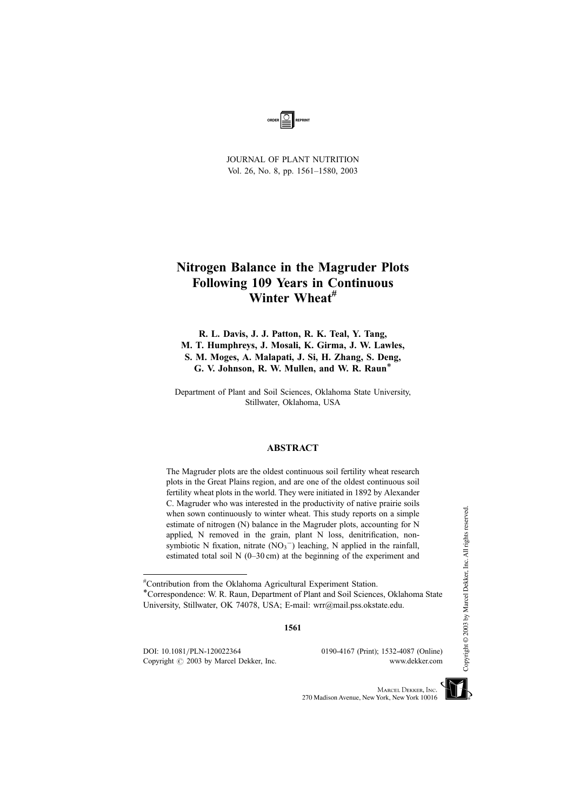

JOURNAL OF PLANT NUTRITION Vol. 26, No. 8, pp. 1561–1580, 2003

# Nitrogen Balance in the Magruder Plots Following 109 Years in Continuous Winter Wheat<sup>#</sup>

R. L. Davis, J. J. Patton, R. K. Teal, Y. Tang, M. T. Humphreys, J. Mosali, K. Girma, J. W. Lawles, S. M. Moges, A. Malapati, J. Si, H. Zhang, S. Deng, G. V. Johnson, R. W. Mullen, and W. R. Raun\*

Department of Plant and Soil Sciences, Oklahoma State University, Stillwater, Oklahoma, USA

### ABSTRACT

The Magruder plots are the oldest continuous soil fertility wheat research plots in the Great Plains region, and are one of the oldest continuous soil fertility wheat plots in the world. They were initiated in 1892 by Alexander C. Magruder who was interested in the productivity of native prairie soils when sown continuously to winter wheat. This study reports on a simple estimate of nitrogen (N) balance in the Magruder plots, accounting for N applied, N removed in the grain, plant N loss, denitrification, nonsymbiotic N fixation, nitrate  $(NO_3^-)$  leaching, N applied in the rainfall, estimated total soil N (0–30 cm) at the beginning of the experiment and

1561

DOI: 10.1081/PLN-120022364 0190-4167 (Print); 1532-4087 (Online) Copyright  $\odot$  2003 by Marcel Dekker, Inc. www.dekker.com



<sup>#</sup> Contribution from the Oklahoma Agricultural Experiment Station.

<sup>\*</sup>Correspondence: W. R. Raun, Department of Plant and Soil Sciences, Oklahoma State University, Stillwater, OK 74078, USA; E-mail: wrr@mail.pss.okstate.edu.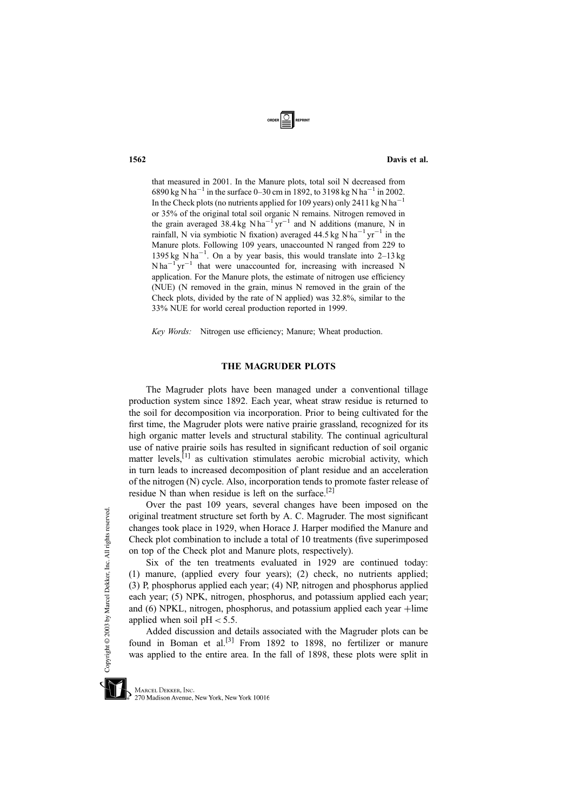that measured in 2001. In the Manure plots, total soil N decreased from 6890 kg N ha<sup>-1</sup> in the surface 0–30 cm in 1892, to 3198 kg N ha<sup>-1</sup> in 2002. In the Check plots (no nutrients applied for 109 years) only 2411 kg N ha<sup>-1</sup> or 35% of the original total soil organic N remains. Nitrogen removed in the grain averaged 38.4 kg N ha<sup>-1</sup> yr<sup>-1</sup> and N additions (manure, N in rainfall, N via symbiotic N fixation) averaged  $44.5$  kg N ha<sup>-1</sup> yr<sup>-1</sup> in the Manure plots. Following 109 years, unaccounted N ranged from 229 to 1395 kg N ha<sup>-1</sup>. On a by year basis, this would translate into  $2-13$  kg  $N \, \text{ha}^{-1} \, \text{yr}^{-1}$  that were unaccounted for, increasing with increased N application. For the Manure plots, the estimate of nitrogen use efficiency (NUE) (N removed in the grain, minus N removed in the grain of the Check plots, divided by the rate of N applied) was 32.8%, similar to the 33% NUE for world cereal production reported in 1999.

Key Words: Nitrogen use efficiency; Manure; Wheat production.

# THE MAGRUDER PLOTS

The Magruder plots have been managed under a conventional tillage production system since 1892. Each year, wheat straw residue is returned to the soil for decomposition via incorporation. Prior to being cultivated for the first time, the Magruder plots were native prairie grassland, recognized for its high organic matter levels and structural stability. The continual agricultural use of native prairie soils has resulted in significant reduction of soil organic matter levels, $[1]$  as cultivation stimulates aerobic microbial activity, which in turn leads to increased decomposition of plant residue and an acceleration of the nitrogen (N) cycle. Also, incorporation tends to promote faster release of residue N than when residue is left on the surface.<sup>[2]</sup>

Over the past 109 years, several changes have been imposed on the original treatment structure set forth by A. C. Magruder. The most significant changes took place in 1929, when Horace J. Harper modified the Manure and Check plot combination to include a total of 10 treatments (five superimposed on top of the Check plot and Manure plots, respectively).

Six of the ten treatments evaluated in 1929 are continued today: (1) manure, (applied every four years); (2) check, no nutrients applied; (3) P, phosphorus applied each year; (4) NP, nitrogen and phosphorus applied each year; (5) NPK, nitrogen, phosphorus, and potassium applied each year; and  $(6)$  NPKL, nitrogen, phosphorus, and potassium applied each year  $+$ lime applied when soil  $pH < 5.5$ .

Added discussion and details associated with the Magruder plots can be found in Boman et al.<sup>[3]</sup> From 1892 to 1898, no fertilizer or manure was applied to the entire area. In the fall of 1898, these plots were split in



270 Madison Avenue, New York, New York 10016

1562 Davis et al.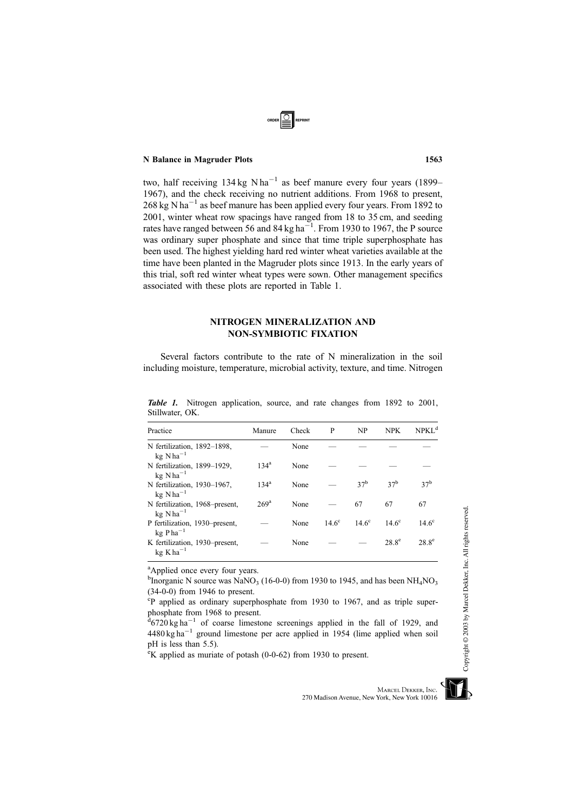two, half receiving  $134 \text{ kg N} \text{ha}^{-1}$  as beef manure every four years (1899– 1967), and the check receiving no nutrient additions. From 1968 to present,  $268 \text{ kg N} \text{ ha}^{-1}$  as beef manure has been applied every four years. From 1892 to 2001, winter wheat row spacings have ranged from 18 to 35 cm, and seeding rates have ranged between 56 and 84 kg ha<sup>-1</sup>. From 1930 to 1967, the P source was ordinary super phosphate and since that time triple superphosphate has been used. The highest yielding hard red winter wheat varieties available at the time have been planted in the Magruder plots since 1913. In the early years of this trial, soft red winter wheat types were sown. Other management specifics associated with these plots are reported in Table 1.

# NITROGEN MINERALIZATION AND NON-SYMBIOTIC FIXATION

Several factors contribute to the rate of N mineralization in the soil including moisture, temperature, microbial activity, texture, and time. Nitrogen

| Practice                                                  | Manure           | Check | P            | NP              | <b>NPK</b>      | NPKL <sup>d</sup> |
|-----------------------------------------------------------|------------------|-------|--------------|-----------------|-----------------|-------------------|
| N fertilization, 1892-1898,<br>$kg$ N ha <sup>-1</sup>    |                  | None  |              |                 |                 |                   |
| N fertilization, 1899-1929,<br>$kg$ N ha <sup>-1</sup>    | $134^{\rm a}$    | None  |              |                 |                 |                   |
| N fertilization, 1930-1967.<br>$kg$ N ha <sup>-1</sup>    | $134^{\rm a}$    | None  |              | 37 <sup>b</sup> | 37 <sup>b</sup> | 37 <sup>b</sup>   |
| N fertilization, 1968–present,<br>$kg$ N ha <sup>-1</sup> | 269 <sup>a</sup> | None  |              | 67              | 67              | 67                |
| P fertilization, 1930–present,<br>$kg Pha^{-1}$           |                  | None  | $14.6^\circ$ | $14.6^\circ$    | $14.6^\circ$    | $14.6^\circ$      |
| K fertilization, 1930–present,<br>$kg$ K ha <sup>-1</sup> |                  | None  |              |                 | $28.8^{\circ}$  | $28.8^{\circ}$    |

Table 1. Nitrogen application, source, and rate changes from 1892 to 2001, Stillwater, OK.

<sup>a</sup>Applied once every four years.

<sup>b</sup>Inorganic N source was NaNO<sub>3</sub> (16-0-0) from 1930 to 1945, and has been NH<sub>4</sub>NO<sub>3</sub> (34-0-0) from 1946 to present.

<sup>c</sup>P applied as ordinary superphosphate from 1930 to 1967, and as triple super-

phosphate from 1968 to present.<br><sup>d</sup>6720 kg ha<sup>-1</sup> of coarse limestone screenings applied in the fall of 1929, and  $4480 \text{ kg ha}^{-1}$  ground limestone per acre applied in 1954 (lime applied when soil pH is less than 5.5).

<sup>e</sup>K applied as muriate of potash (0-0-62) from 1930 to present.

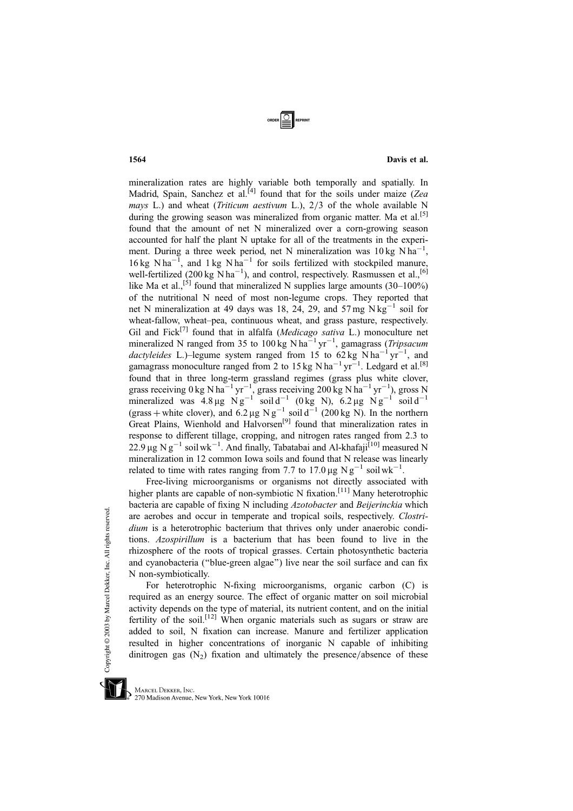mineralization rates are highly variable both temporally and spatially. In Madrid, Spain, Sanchez et al.<sup>[4]</sup> found that for the soils under maize (Zea mays L.) and wheat (*Triticum aestivum L.*),  $2/3$  of the whole available N during the growing season was mineralized from organic matter. Ma et al.<sup>[5]</sup> found that the amount of net N mineralized over a corn-growing season accounted for half the plant N uptake for all of the treatments in the experiment. During a three week period, net N mineralization was  $10 \text{ kg N} \text{h} \text{a}^{-1}$ , 16 kg N ha<sup>-1</sup>, and 1 kg N ha<sup>-1</sup> for soils fertilized with stockpiled manure, well-fertilized (200 kg  $\mathrm{N}$  ha<sup>-1</sup>), and control, respectively. Rasmussen et al.,<sup>[6]</sup> like Ma et al.,<sup>[5]</sup> found that mineralized N supplies large amounts  $(30-100\%)$ of the nutritional N need of most non-legume crops. They reported that net N mineralization at 49 days was 18, 24, 29, and 57 mg  $N \text{ kg}^{-1}$  soil for wheat-fallow, wheat–pea, continuous wheat, and grass pasture, respectively. Gil and Fick<sup>[7]</sup> found that in alfalfa (Medicago sativa L.) monoculture net mineralized N ranged from 35 to 100 kg N ha<sup>-1</sup> yr<sup>-1</sup>, gamagrass (*Tripsacum* dactyleides L.)–legume system ranged from 15 to 62 kg N ha<sup>-1</sup> yr<sup>-1</sup>, and gamagrass monoculture ranged from 2 to 15 kg N ha<sup>-1</sup> yr<sup>-1</sup>. Ledgard et al.<sup>[8]</sup> found that in three long-term grassland regimes (grass plus white clover, grass receiving  $0 \text{ kg N ha}^{-1} \text{ yr}^{-1}$ , grass receiving  $200 \text{ kg N ha}^{-1} \text{ yr}^{-1}$ ), gross N mineralized was  $4.8 \mu g \text{ N} g^{-1}$  soil d<sup>-1</sup> (0 kg N),  $6.2 \mu g \text{ N} g^{-1}$  soil d<sup>-1</sup> (grass + white clover), and 6.2 µg Ng<sup>-1</sup> soil d<sup>-1</sup> (200 kg N). In the northern Great Plains, Wienhold and Halvorsen<sup>[9]</sup> found that mineralization rates in response to different tillage, cropping, and nitrogen rates ranged from 2.3 to 22.9 µg N g<sup>-1</sup> soil wk<sup>-1</sup>. And finally, Tabatabai and Al-khafaji<sup>[10]</sup> measured N mineralization in 12 common Iowa soils and found that N release was linearly related to time with rates ranging from 7.7 to 17.0  $\mu$ g Ng<sup>-1</sup> soil wk<sup>-1</sup>.

Free-living microorganisms or organisms not directly associated with higher plants are capable of non-symbiotic N fixation.<sup>[11]</sup> Many heterotrophic bacteria are capable of fixing N including Azotobacter and Beijerinckia which are aerobes and occur in temperate and tropical soils, respectively. Clostridium is a heterotrophic bacterium that thrives only under anaerobic conditions. Azospirillum is a bacterium that has been found to live in the rhizosphere of the roots of tropical grasses. Certain photosynthetic bacteria and cyanobacteria (''blue-green algae'') live near the soil surface and can fix N non-symbiotically.

For heterotrophic N-fixing microorganisms, organic carbon (C) is required as an energy source. The effect of organic matter on soil microbial activity depends on the type of material, its nutrient content, and on the initial fertility of the soil.<sup>[12]</sup> When organic materials such as sugars or straw are added to soil, N fixation can increase. Manure and fertilizer application resulted in higher concentrations of inorganic N capable of inhibiting dinitrogen gas  $(N_2)$  fixation and ultimately the presence/absence of these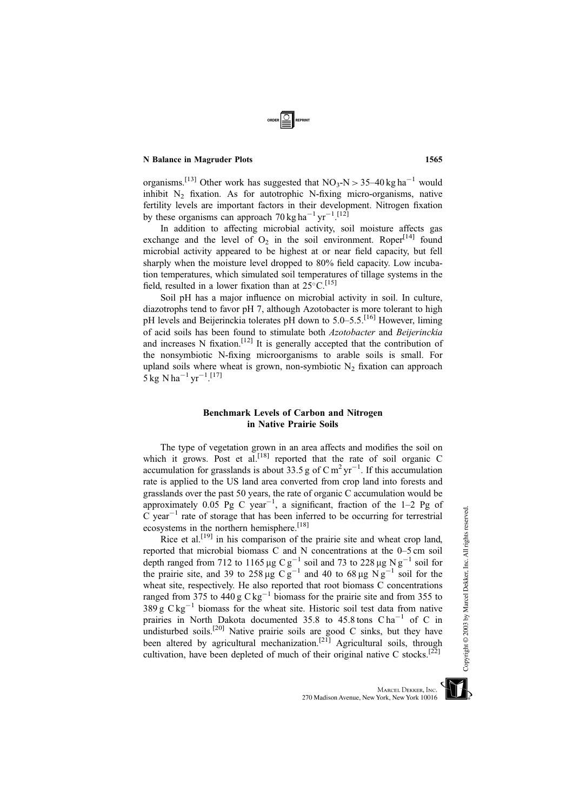organisms.<sup>[13]</sup> Other work has suggested that  $NO_3-N > 35-40$  kg ha<sup>-1</sup> would inhibit  $N_2$  fixation. As for autotrophic N-fixing micro-organisms, native fertility levels are important factors in their development. Nitrogen fixation by these organisms can approach 70 kg ha<sup>-1</sup> yr<sup>-1</sup>.<sup>[12]</sup>

In addition to affecting microbial activity, soil moisture affects gas exchange and the level of  $O<sub>2</sub>$  in the soil environment. Roper<sup>[14]</sup> found microbial activity appeared to be highest at or near field capacity, but fell sharply when the moisture level dropped to 80% field capacity. Low incubation temperatures, which simulated soil temperatures of tillage systems in the field, resulted in a lower fixation than at  $25^{\circ}$ C.<sup>[15]</sup>

Soil pH has a major influence on microbial activity in soil. In culture, diazotrophs tend to favor pH 7, although Azotobacter is more tolerant to high pH levels and Beijerinckia tolerates pH down to 5.0–5.5.<sup>[16]</sup> However, liming of acid soils has been found to stimulate both Azotobacter and Beijerinckia and increases N fixation.<sup>[12]</sup> It is generally accepted that the contribution of the nonsymbiotic N-fixing microorganisms to arable soils is small. For upland soils where wheat is grown, non-symbiotic  $N_2$  fixation can approach  $5 \text{ kg} \text{ N} \text{ ha}^{-1} \text{ yr}^{-1}$ . [17]

# Benchmark Levels of Carbon and Nitrogen in Native Prairie Soils

The type of vegetation grown in an area affects and modifies the soil on which it grows. Post et al.<sup>[18]</sup> reported that the rate of soil organic C accumulation for grasslands is about 33.5 g of  $\text{C m}^2 \text{ yr}^{-1}$ . If this accumulation rate is applied to the US land area converted from crop land into forests and grasslands over the past 50 years, the rate of organic C accumulation would be approximately  $0.05$  Pg C year<sup>-1</sup>, a significant, fraction of the 1-2 Pg of C year<sup>-1</sup> rate of storage that has been inferred to be occurring for terrestrial ecosystems in the northern hemisphere.<sup>[18]</sup>

Rice et al.<sup>[19]</sup> in his comparison of the prairie site and wheat crop land, reported that microbial biomass C and N concentrations at the 0–5 cm soil depth ranged from 712 to 1165 µg C  $g^{-1}$  soil and 73 to 228 µg N  $g^{-1}$  soil for the prairie site, and 39 to 258 µg  $Cg^{-1}$  and 40 to 68 µg  $Ng^{-1}$  soil for the wheat site, respectively. He also reported that root biomass C concentrations ranged from 375 to 440 g  $C \text{ kg}^{-1}$  biomass for the prairie site and from 355 to  $389 g C kg^{-1}$  biomass for the wheat site. Historic soil test data from native prairies in North Dakota documented 35.8 to 45.8 tons  $Cha^{-1}$  of C in undisturbed soils.<sup>[20]</sup> Native prairie soils are good C sinks, but they have been altered by agricultural mechanization.<sup>[21]</sup> Agricultural soils, through cultivation, have been depleted of much of their original native C stocks.<sup>[22]</sup>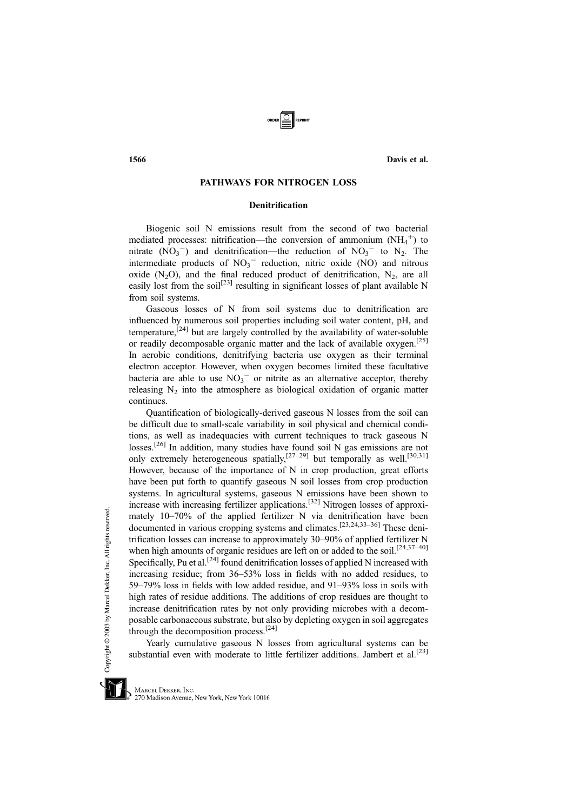# PATHWAYS FOR NITROGEN LOSS

# Denitrification

Biogenic soil N emissions result from the second of two bacterial mediated processes: nitrification—the conversion of ammonium  $(NH_4^+)$  to nitrate  $(NO_3^-)$  and denitrification—the reduction of  $NO_3^-$  to  $N_2$ . The intermediate products of  $NO_3$ <sup>-</sup> reduction, nitric oxide (NO) and nitrous oxide (N<sub>2</sub>O), and the final reduced product of denitrification, N<sub>2</sub>, are all easily lost from the soil<sup>[23]</sup> resulting in significant losses of plant available N from soil systems.

Gaseous losses of N from soil systems due to denitrification are influenced by numerous soil properties including soil water content, pH, and temperature,<sup> $[24]$ </sup> but are largely controlled by the availability of water-soluble or readily decomposable organic matter and the lack of available oxygen.[25] In aerobic conditions, denitrifying bacteria use oxygen as their terminal electron acceptor. However, when oxygen becomes limited these facultative bacteria are able to use  $NO<sub>3</sub><sup>-</sup>$  or nitrite as an alternative acceptor, thereby releasing  $N_2$  into the atmosphere as biological oxidation of organic matter continues.

Quantification of biologically-derived gaseous N losses from the soil can be difficult due to small-scale variability in soil physical and chemical conditions, as well as inadequacies with current techniques to track gaseous N losses.<sup>[26]</sup> In addition, many studies have found soil N gas emissions are not only extremely heterogeneous spatially, $[27-29]$  but temporally as well.<sup>[30,31]</sup> However, because of the importance of N in crop production, great efforts have been put forth to quantify gaseous N soil losses from crop production systems. In agricultural systems, gaseous N emissions have been shown to increase with increasing fertilizer applications.[32] Nitrogen losses of approximately 10–70% of the applied fertilizer N via denitrification have been documented in various cropping systems and climates.[23,24,33–36] These denitrification losses can increase to approximately 30–90% of applied fertilizer N when high amounts of organic residues are left on or added to the soil.<sup>[24,37-40]</sup> Specifically, Pu et al.<sup>[24]</sup> found denitrification losses of applied N increased with increasing residue; from 36–53% loss in fields with no added residues, to 59–79% loss in fields with low added residue, and 91–93% loss in soils with high rates of residue additions. The additions of crop residues are thought to increase denitrification rates by not only providing microbes with a decomposable carbonaceous substrate, but also by depleting oxygen in soil aggregates through the decomposition process.[24]

Yearly cumulative gaseous N losses from agricultural systems can be substantial even with moderate to little fertilizer additions. Jambert et al.<sup>[23]</sup>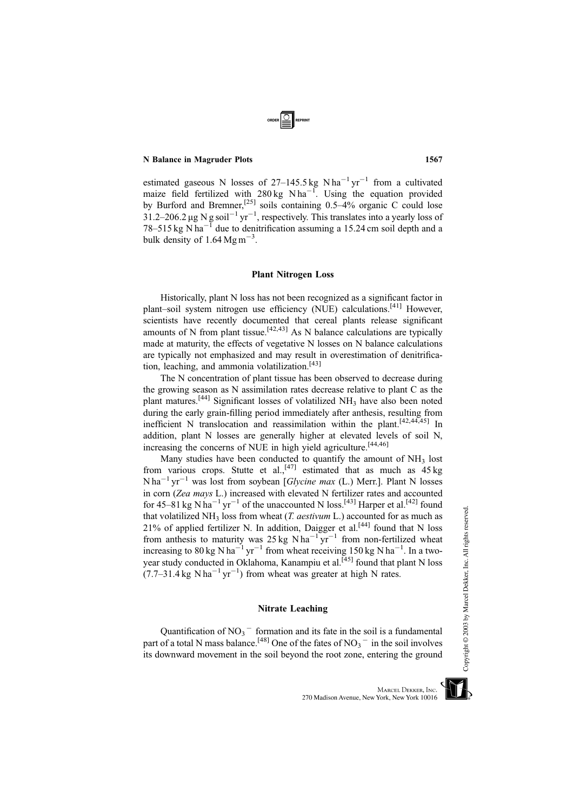estimated gaseous N losses of  $27-145.5$  kg N ha<sup>-1</sup> yr<sup>-1</sup> from a cultivated maize field fertilized with  $280 \text{ kg}$  N ha<sup>-1</sup>. Using the equation provided by Burford and Bremner,<sup>[25]</sup> soils containing  $0.5-4%$  organic C could lose  $31.2 - 206.2 \,\mu$ g N g soil<sup>-1</sup> yr<sup>-1</sup>, respectively. This translates into a yearly loss of 78–515 kg N ha<sup> $-1$ </sup> due to denitrification assuming a 15.24 cm soil depth and a bulk density of  $1.64 \text{ Mg m}^{-3}$ .

# Plant Nitrogen Loss

Historically, plant N loss has not been recognized as a significant factor in plant–soil system nitrogen use efficiency (NUE) calculations.[41] However, scientists have recently documented that cereal plants release significant amounts of N from plant tissue.<sup>[42,43]</sup> As N balance calculations are typically made at maturity, the effects of vegetative N losses on N balance calculations are typically not emphasized and may result in overestimation of denitrification, leaching, and ammonia volatilization.[43]

The N concentration of plant tissue has been observed to decrease during the growing season as N assimilation rates decrease relative to plant C as the plant matures.<sup>[44]</sup> Significant losses of volatilized  $NH<sub>3</sub>$  have also been noted during the early grain-filling period immediately after anthesis, resulting from inefficient N translocation and reassimilation within the plant.<sup>[42,44,45]</sup> In addition, plant N losses are generally higher at elevated levels of soil N, increasing the concerns of NUE in high yield agriculture.<sup>[44,46]</sup>

Many studies have been conducted to quantify the amount of  $NH<sub>3</sub>$  lost from various crops. Stutte et al.,<sup>[47]</sup> estimated that as much as  $45 \text{ kg}$  $N$ ha<sup>-1</sup> yr<sup>-1</sup> was lost from soybean [*Glycine max* (L.) Merr.]. Plant N losses in corn (Zea mays L.) increased with elevated N fertilizer rates and accounted for 45–81 kg N ha<sup>-1</sup> yr<sup>-1</sup> of the unaccounted N loss.<sup>[43]</sup> Harper et al.<sup>[42]</sup> found that volatilized  $NH_3$  loss from wheat (*T. aestivum* L.) accounted for as much as 21% of applied fertilizer N. In addition, Daigger et al.<sup>[44]</sup> found that N loss from anthesis to maturity was  $25 \text{ kg} \text{ N} \text{ ha}^{-1} \text{ yr}^{-1}$  from non-fertilized wheat increasing to 80 kg N ha<sup>-1</sup> yr<sup>-1</sup> from wheat receiving 150 kg N ha<sup>-1</sup>. In a twoyear study conducted in Oklahoma, Kanampiu et al.<sup>[45]</sup> found that plant N loss  $(7.7-31.4 \text{ kg N} \text{ ha}^{-1} \text{ yr}^{-1})$  from wheat was greater at high N rates.

# Nitrate Leaching

Quantification of  $NO_3$ <sup>-</sup> formation and its fate in the soil is a fundamental part of a total N mass balance.<sup>[48]</sup> One of the fates of  $NO_3$ <sup>-</sup> in the soil involves its downward movement in the soil beyond the root zone, entering the ground Copyright © 2003 by Marcel Dekker, Inc. All rights reserved.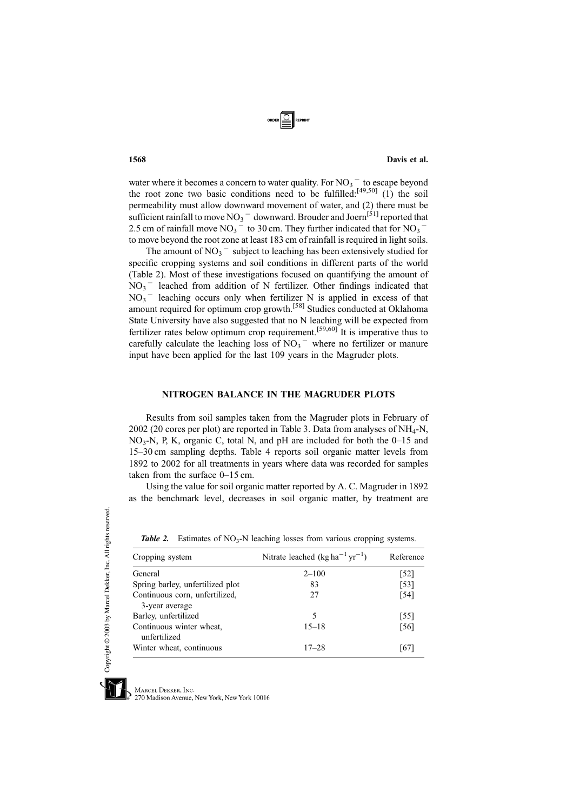

water where it becomes a concern to water quality. For  $NO_3$ <sup>-</sup> to escape beyond the root zone two basic conditions need to be fulfilled: $[49,50]$  (1) the soil permeability must allow downward movement of water, and (2) there must be sufficient rainfall to move  $NO_3$   $^-$  downward. Brouder and Joern<sup>[51]</sup> reported that 2.5 cm of rainfall move  $NO_3$ <sup>-</sup> to 30 cm. They further indicated that for  $NO_3$ <sup>-</sup> to move beyond the root zone at least 183 cm of rainfall is required in light soils.

The amount of  $NO_3$ <sup>-</sup> subject to leaching has been extensively studied for specific cropping systems and soil conditions in different parts of the world (Table 2). Most of these investigations focused on quantifying the amount of  $NO<sub>3</sub>$ <sup>-</sup> leached from addition of N fertilizer. Other findings indicated that  $NO<sub>3</sub>$ <sup>-</sup> leaching occurs only when fertilizer N is applied in excess of that amount required for optimum crop growth.<sup>[58]</sup> Studies conducted at Oklahoma State University have also suggested that no N leaching will be expected from fertilizer rates below optimum crop requirement.<sup>[59,60]</sup> It is imperative thus to carefully calculate the leaching loss of  $NO<sub>3</sub><sup>-</sup>$  where no fertilizer or manure input have been applied for the last 109 years in the Magruder plots.

# NITROGEN BALANCE IN THE MAGRUDER PLOTS

Results from soil samples taken from the Magruder plots in February of  $2002$  (20 cores per plot) are reported in Table 3. Data from analyses of NH<sub>4</sub>-N,  $NO<sub>3</sub>-N$ , P, K, organic C, total N, and pH are included for both the  $0-15$  and 15–30 cm sampling depths. Table 4 reports soil organic matter levels from 1892 to 2002 for all treatments in years where data was recorded for samples taken from the surface 0–15 cm.

Using the value for soil organic matter reported by A. C. Magruder in 1892 as the benchmark level, decreases in soil organic matter, by treatment are

| Cropping system                          | Nitrate leached $(kg ha^{-1} yr^{-1})$ | Reference |
|------------------------------------------|----------------------------------------|-----------|
| General                                  | $2 - 100$                              | [52]      |
| Spring barley, unfertilized plot         | 83                                     | $[53]$    |
| Continuous corn, unfertilized,           | 27                                     | [54]      |
| 3-year average                           |                                        |           |
| Barley, unfertilized                     | 5                                      | [55]      |
| Continuous winter wheat,<br>unfertilized | $15 - 18$                              | [56]      |
| Winter wheat, continuous                 | $17 - 28$                              | [67]      |

**Table 2.** Estimates of  $NO_3-N$  leaching losses from various cropping systems.

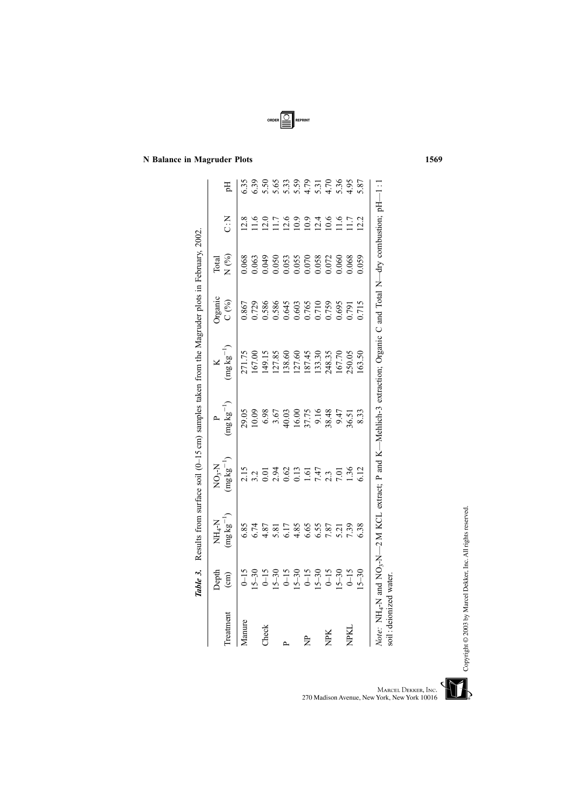|                        |                                        | <b>Table 3.</b> Results from surface soil (0-15 cm) samples taken from the Magruder plots in February, 2002.                                                        |                                            |                       |                 |                         |                |                                             |                            |
|------------------------|----------------------------------------|---------------------------------------------------------------------------------------------------------------------------------------------------------------------|--------------------------------------------|-----------------------|-----------------|-------------------------|----------------|---------------------------------------------|----------------------------|
| Treatment              | Depth<br>$\binom{cm}{c}$               | $(mg\,kg^{-1})$<br>$NH_4-N$                                                                                                                                         | $(\text{mgkg}^{-1})$<br>N <sub>03</sub> -N | $(\text{mg kg}^{-1})$ | $(mg\,kg^{-1})$ | <b>Organic</b><br>C (%) | N(%)<br>Total  | $\sum_{i=1}^{n}$                            | Eq                         |
| Manure                 | $0 - 15$                               | 6.85                                                                                                                                                                | 2.15                                       | 29.05                 | 271.75          | 0.867                   | 0.68           | 12.8                                        | 6.35                       |
|                        | $15 - 30$                              | 6.74                                                                                                                                                                | 3.2                                        | 0.09                  | 167.00          | 0.729                   | 0.63           | 11.6                                        | 6.39                       |
| Check                  |                                        | 4.87                                                                                                                                                                | 0.01                                       |                       | 149.15          | 0.586                   | 0.049          | 12.0                                        | 5.50                       |
|                        | $0 - 15$<br>$5 - 30$                   | 5.81                                                                                                                                                                | 2.94                                       | $6.98$<br>3.67        | 127.85          | 0.586                   | 0.050          | 11.7                                        | 5.65                       |
| $\sim$                 |                                        | 6.17                                                                                                                                                                | 0.62                                       | 40.03                 | 138.60          | 0.645                   | 0.053          |                                             | 5.33                       |
|                        | $0-15$<br>$15-30$<br>$0-15$<br>$15-30$ | 4.85                                                                                                                                                                | 0.13                                       | 16.00                 | 127.60          | 0.603                   | 0.055          |                                             |                            |
| È                      |                                        | 6.65                                                                                                                                                                |                                            |                       | 187.45          | 0.765                   | 0.070<br>0.058 |                                             | $5.59$<br>$4.70$<br>$4.70$ |
|                        |                                        | 6.55                                                                                                                                                                | 7.47                                       | 37.75<br>9.16         | 133.30          | 0.710                   |                |                                             |                            |
| NPK                    | $0 - 15$                               | 7.87                                                                                                                                                                | 2.3                                        | 38.48                 | 248.35          | 0.759                   | 0.072          | $10.9$<br>$0.9$<br>$0.9$<br>$10.4$<br>$0.6$ |                            |
|                        | $5 - 30$                               | 5.21                                                                                                                                                                | 7.01                                       | 9.47                  | 167.70          | 0.695                   | 0.060          | 11.6                                        | 5.36                       |
| <b>NPKI</b>            | $6-15$                                 | 7.39                                                                                                                                                                | 1.36                                       | 6.51                  | 250.05          | 0.791                   | 0.068          | 11.7                                        | 4.95                       |
|                        | $5 - 30$                               | 6.38                                                                                                                                                                | 6.12                                       | 8.33                  | 163.50          | 0.715                   | 0.059          | 12.2                                        | 5.87                       |
| soil: deionized water. |                                        | <i>Note</i> : NH <sub>4</sub> -N and NO <sub>3</sub> -N $-2$ M KCL extract; P and K $-$ Mehlich-3 extraction; Organic C and Total N $-$ dry combustion; pH $-1$ : 1 |                                            |                       |                 |                         |                |                                             |                            |

ORDER SEPRINT

N Balance in Magruder Plots 1569

Copyright © 2003 by Marcel Dekker, Inc. All rights reserved.



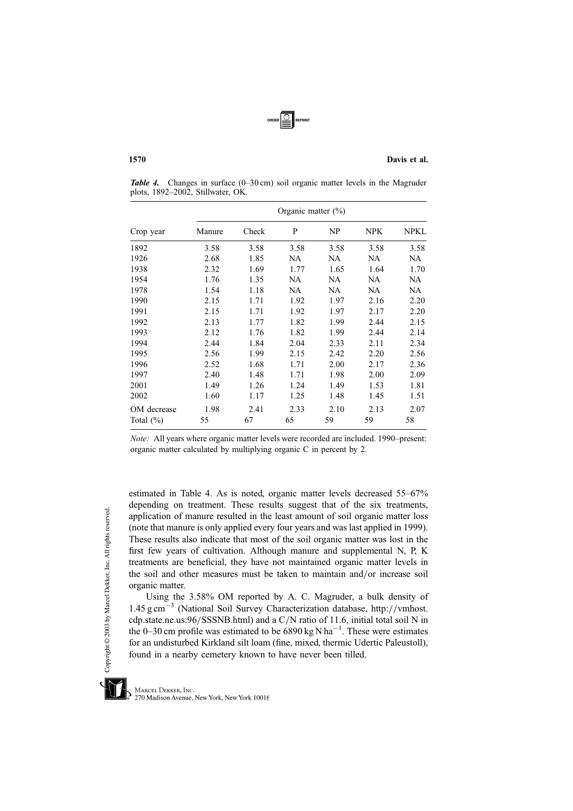

Table 4. Changes in surface (0–30 cm) soil organic matter levels in the Magruder plots, 1892–2002, Stillwater, OK.

|               | Organic matter $(\% )$ |       |      |      |            |             |  |  |
|---------------|------------------------|-------|------|------|------------|-------------|--|--|
| Crop year     | Manure                 | Check | P    | NP   | <b>NPK</b> | <b>NPKL</b> |  |  |
| 1892          | 3.58                   | 3.58  | 3.58 | 3.58 | 3.58       | 3.58        |  |  |
| 1926          | 2.68                   | 1.85  | NA   | NA   | NA         | NA          |  |  |
| 1938          | 2.32                   | 1.69  | 1.77 | 1.65 | 1.64       | 1.70        |  |  |
| 1954          | 1.76                   | 1.35  | NA   | NA   | NA         | NA          |  |  |
| 1978          | 1.54                   | 1.18  | NA   | NA   | NA         | NA          |  |  |
| 1990          | 2.15                   | 1.71  | 1.92 | 1.97 | 2.16       | 2.20        |  |  |
| 1991          | 2.15                   | 1.71  | 1.92 | 1.97 | 2.17       | 2.20        |  |  |
| 1992          | 2.13                   | 1.77  | 1.82 | 1.99 | 2.44       | 2.15        |  |  |
| 1993          | 2.12                   | 1.76  | 1.82 | 1.99 | 2.44       | 2.14        |  |  |
| 1994          | 2.44                   | 1.84  | 2.04 | 2.33 | 2.11       | 2.34        |  |  |
| 1995          | 2.56                   | 1.99  | 2.15 | 2.42 | 2.20       | 2.56        |  |  |
| 1996          | 2.52                   | 1.68  | 1.71 | 2.00 | 2.17       | 2.36        |  |  |
| 1997          | 2.40                   | 1.48  | 1.71 | 1.98 | 2.00       | 2.09        |  |  |
| 2001          | 1.49                   | 1.26  | 1.24 | 1.49 | 1.53       | 1.81        |  |  |
| 2002          | 1.60                   | 1.17  | 1.25 | 1.48 | 1.45       | 1.51        |  |  |
| OM decrease   | 1.98                   | 2.41  | 2.33 | 2.10 | 2.13       | 2.07        |  |  |
| Total $(\% )$ | 55                     | 67    | 65   | 59   | 59         | 58          |  |  |

Note: All years where organic matter levels were recorded are included. 1990–present: organic matter calculated by multiplying organic C in percent by 2.

estimated in Table 4. As is noted, organic matter levels decreased 55–67% depending on treatment. These results suggest that of the six treatments, application of manure resulted in the least amount of soil organic matter loss (note that manure is only applied every four years and was last applied in 1999). These results also indicate that most of the soil organic matter was lost in the first few years of cultivation. Although manure and supplemental N, P, K treatments are beneficial, they have not maintained organic matter levels in the soil and other measures must be taken to maintain and/or increase soil organic matter.

Using the 3.58% OM reported by A. C. Magruder, a bulk density of  $1.45 \text{ g cm}^{-3}$  (National Soil Survey Characterization database, http://vmhost. cdp.state.ne.us:96/SSSNB.html) and a C/N ratio of 11.6, initial total soil N in the 0–30 cm profile was estimated to be  $6890 \text{ kg N} \text{ ha}^{-1}$ . These were estimates for an undisturbed Kirkland silt loam (fine, mixed, thermic Udertic Paleustoll), found in a nearby cemetery known to have never been tilled.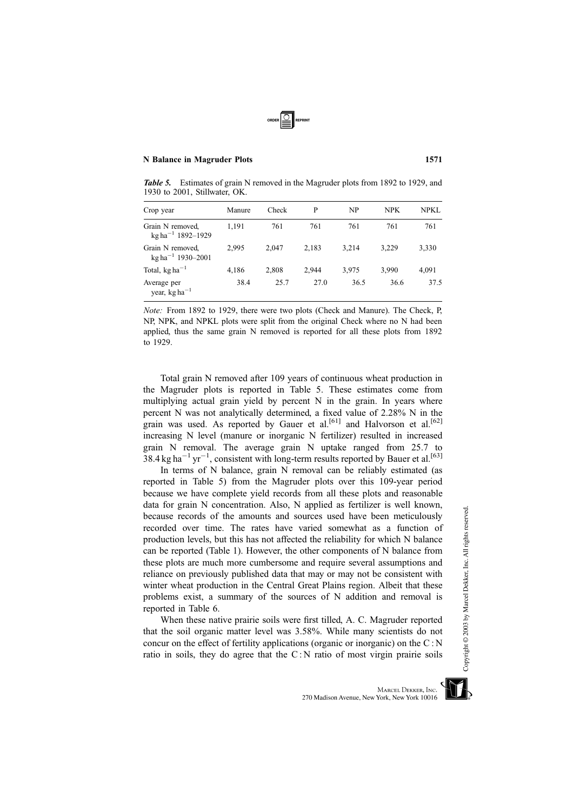

Table 5. Estimates of grain N removed in the Magruder plots from 1892 to 1929, and 1930 to 2001, Stillwater, OK.

| Crop year                                                  | Manure | Check | P     | NP    | <b>NPK</b> | NPKL. |
|------------------------------------------------------------|--------|-------|-------|-------|------------|-------|
| Grain N removed,<br>$\text{kg}$ ha <sup>-1</sup> 1892-1929 | 1,191  | 761   | 761   | 761   | 761        | 761   |
| Grain N removed,<br>$kg ha^{-1}$ 1930-2001                 | 2.995  | 2.047 | 2,183 | 3.214 | 3,229      | 3,330 |
| Total, $kg ha^{-1}$                                        | 4,186  | 2,808 | 2.944 | 3.975 | 3.990      | 4,091 |
| Average per<br>year, kg ha <sup><math>-1</math></sup>      | 38.4   | 25.7  | 27.0  | 36.5  | 36.6       | 37.5  |

Note: From 1892 to 1929, there were two plots (Check and Manure). The Check, P, NP, NPK, and NPKL plots were split from the original Check where no N had been applied, thus the same grain N removed is reported for all these plots from 1892 to 1929.

Total grain N removed after 109 years of continuous wheat production in the Magruder plots is reported in Table 5. These estimates come from multiplying actual grain yield by percent N in the grain. In years where percent N was not analytically determined, a fixed value of 2.28% N in the grain was used. As reported by Gauer et al.<sup>[61]</sup> and Halvorson et al.<sup>[62]</sup> increasing N level (manure or inorganic N fertilizer) resulted in increased grain N removal. The average grain N uptake ranged from 25.7 to  $38.4 \text{ kg ha}^{-1} \text{ yr}^{-1}$ , consistent with long-term results reported by Bauer et al.<sup>[63]</sup>

In terms of N balance, grain N removal can be reliably estimated (as reported in Table 5) from the Magruder plots over this 109-year period because we have complete yield records from all these plots and reasonable data for grain N concentration. Also, N applied as fertilizer is well known, because records of the amounts and sources used have been meticulously recorded over time. The rates have varied somewhat as a function of production levels, but this has not affected the reliability for which N balance can be reported (Table 1). However, the other components of N balance from these plots are much more cumbersome and require several assumptions and reliance on previously published data that may or may not be consistent with winter wheat production in the Central Great Plains region. Albeit that these problems exist, a summary of the sources of N addition and removal is reported in Table 6.

When these native prairie soils were first tilled, A. C. Magruder reported that the soil organic matter level was 3.58%. While many scientists do not concur on the effect of fertility applications (organic or inorganic) on the  $C : N$ ratio in soils, they do agree that the C : N ratio of most virgin prairie soils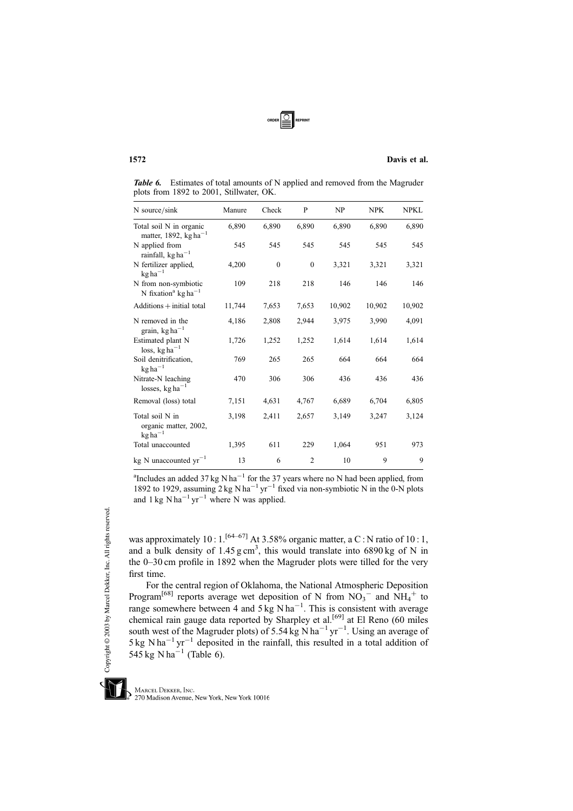

Table 6. Estimates of total amounts of N applied and removed from the Magruder plots from 1892 to 2001, Stillwater, OK.

| N source/sink                                                       | Manure | Check        | P              | NP     | <b>NPK</b> | NPKL   |
|---------------------------------------------------------------------|--------|--------------|----------------|--------|------------|--------|
| Total soil N in organic<br>matter, 1892, $kg ha^{-1}$               | 6,890  | 6,890        | 6,890          | 6,890  | 6,890      | 6,890  |
| N applied from<br>rainfall, kg ha <sup>-1</sup>                     | 545    | 545          | 545            | 545    | 545        | 545    |
| N fertilizer applied,<br>$kg ha^{-1}$                               | 4,200  | $\mathbf{0}$ | $\mathbf{0}$   | 3,321  | 3,321      | 3,321  |
| N from non-symbiotic<br>N fixation <sup>a</sup> kg ha <sup>-1</sup> | 109    | 218          | 218            | 146    | 146        | 146    |
| $Additions + initial total$                                         | 11,744 | 7,653        | 7,653          | 10,902 | 10,902     | 10,902 |
| N removed in the<br>grain, $kg ha^{-1}$                             | 4,186  | 2,808        | 2,944          | 3,975  | 3,990      | 4,091  |
| Estimated plant N<br>loss, $kg ha^{-1}$                             | 1,726  | 1,252        | 1,252          | 1,614  | 1,614      | 1,614  |
| Soil denitrification,<br>$kg ha^{-1}$                               | 769    | 265          | 265            | 664    | 664        | 664    |
| Nitrate-N leaching<br>losses, $kg ha^{-1}$                          | 470    | 306          | 306            | 436    | 436        | 436    |
| Removal (loss) total                                                | 7,151  | 4,631        | 4,767          | 6,689  | 6,704      | 6,805  |
| Total soil N in<br>organic matter, 2002,<br>$kg ha^{-1}$            | 3,198  | 2,411        | 2,657          | 3,149  | 3,247      | 3,124  |
| Total unaccounted                                                   | 1,395  | 611          | 229            | 1,064  | 951        | 973    |
| kg N unaccounted $yr^{-1}$                                          | 13     | 6            | $\overline{2}$ | 10     | 9          | 9      |

<sup>a</sup>Includes an added 37 kg N ha<sup>-1</sup> for the 37 years where no N had been applied, from 1892 to 1929, assuming  $2 \text{ kg } N \text{ ha}^{-1} \text{ yr}^{-1}$  fixed via non-symbiotic N in the 0-N plots and 1 kg  $N \text{ ha}^{-1} \text{ yr}^{-1}$  where N was applied.

was approximately  $10:1.^{[64-67]}$  At 3.58% organic matter, a C: N ratio of  $10:1$ , and a bulk density of  $1.45 \text{ g cm}^3$ , this would translate into 6890 kg of N in the 0–30 cm profile in 1892 when the Magruder plots were tilled for the very first time.

For the central region of Oklahoma, the National Atmospheric Deposition Program<sup>[68]</sup> reports average wet deposition of N from  $NO_3$ <sup>-</sup> and  $NH_4$ <sup>+</sup> to range somewhere between 4 and 5 kg N ha<sup>-1</sup>. This is consistent with average chemical rain gauge data reported by Sharpley et al.<sup>[69]</sup> at El Reno (60 miles south west of the Magruder plots) of 5.54 kg N ha<sup>-1</sup> yr<sup>-1</sup>. Using an average of  $5 \text{ kg }$  N ha<sup>-1</sup> yr<sup>-1</sup> deposited in the rainfall, this resulted in a total addition of 545 kg N ha<sup>-1</sup> (Table 6).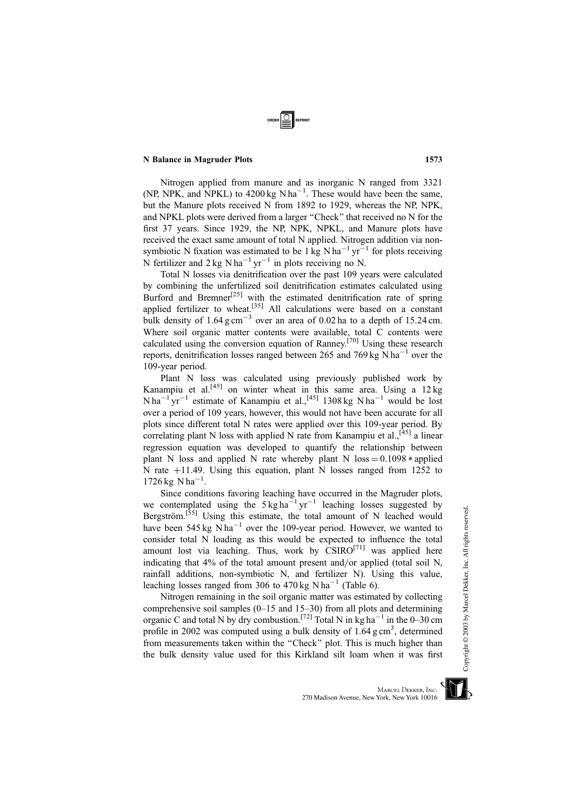Nitrogen applied from manure and as inorganic N ranged from 3321 (NP, NPK, and NPKL) to  $4200 \text{ kg N} \text{h} \text{a}^{-1}$ . These would have been the same, but the Manure plots received N from 1892 to 1929, whereas the NP, NPK, and NPKL plots were derived from a larger ''Check'' that received no N for the first 37 years. Since 1929, the NP, NPK, NPKL, and Manure plots have received the exact same amount of total N applied. Nitrogen addition via nonsymbiotic N fixation was estimated to be  $1 \text{ kg N} \text{ ha}^{-1} \text{ yr}^{-1}$  for plots receiving N fertilizer and  $2 \text{ kg } \text{N} \text{ ha}^{-1} \text{ yr}^{-1}$  in plots receiving no N.

Total N losses via denitrification over the past 109 years were calculated by combining the unfertilized soil denitrification estimates calculated using Burford and Bremner<sup>[25]</sup> with the estimated denitrification rate of spring applied fertilizer to wheat.<sup>[35]</sup> All calculations were based on a constant bulk density of  $1.64 \text{ g cm}^{-3}$  over an area of 0.02 ha to a depth of 15.24 cm. Where soil organic matter contents were available, total C contents were calculated using the conversion equation of Ranney.[70] Using these research reports, denitrification losses ranged between 265 and 769 kg  $N$  ha<sup>-1</sup> over the 109-year period.

Plant N loss was calculated using previously published work by Kanampiu et al.<sup>[45]</sup> on winter wheat in this same area. Using a 12 kg  $N$ ha<sup>-1</sup> yr<sup>-1</sup> estimate of Kanampiu et al.,<sup>[45]</sup> 1308 kg N ha<sup>-1</sup> would be lost over a period of 109 years, however, this would not have been accurate for all plots since different total N rates were applied over this 109-year period. By correlating plant N loss with applied N rate from Kanampiu et al.,  $[45]$  a linear regression equation was developed to quantify the relationship between plant N loss and applied N rate whereby plant N loss  $= 0.1098 *$  applied N rate  $+11.49$ . Using this equation, plant N losses ranged from 1252 to  $1726 \text{ kg} \text{ N} \text{ ha}^{-1}$ .

Since conditions favoring leaching have occurred in the Magruder plots, we contemplated using the  $5 \text{ kg ha}^{-1} \text{ yr}^{-1}$  leaching losses suggested by Bergström.<sup>[55]</sup> Using this estimate, the total amount of N leached would have been 545 kg  $N$  ha<sup>-1</sup> over the 109-year period. However, we wanted to consider total N loading as this would be expected to influence the total amount lost via leaching. Thus, work by  $\operatorname{CSIRO}^{[71]}$  was applied here indicating that  $4\%$  of the total amount present and/or applied (total soil N, rainfall additions, non-symbiotic N, and fertilizer N). Using this value, leaching losses ranged from 306 to 470 kg N ha<sup>-1</sup> (Table 6).

Nitrogen remaining in the soil organic matter was estimated by collecting comprehensive soil samples  $(0-15$  and  $15-30$ ) from all plots and determining organic C and total N by dry combustion.<sup>[72]</sup> Total N in kg ha<sup>-1</sup> in the 0–30 cm profile in 2002 was computed using a bulk density of  $1.64$  g cm<sup>3</sup>, determined from measurements taken within the ''Check'' plot. This is much higher than the bulk density value used for this Kirkland silt loam when it was first

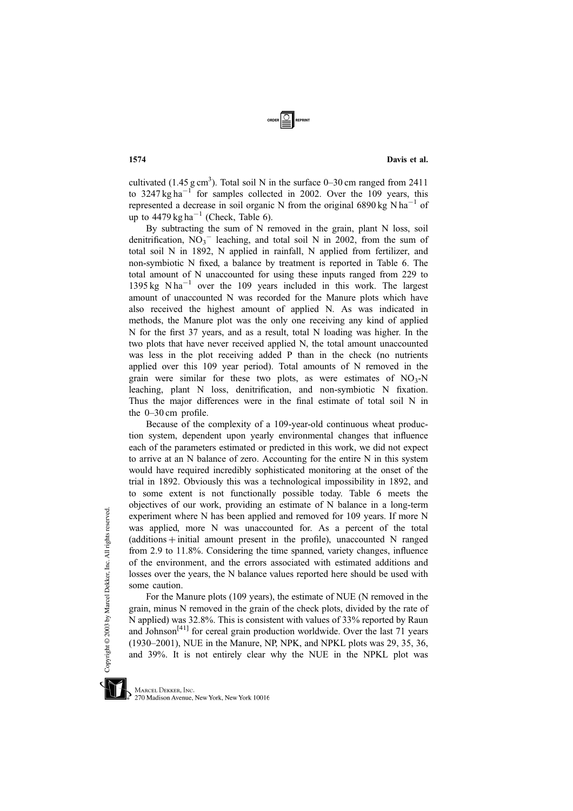cultivated (1.45 g cm<sup>3</sup>). Total soil N in the surface  $0-30$  cm ranged from 2411 to  $3247 \text{ kg ha}^{-1}$  for samples collected in 2002. Over the 109 years, this represented a decrease in soil organic N from the original 6890 kg  $N$  ha<sup>-1</sup> of up to  $4479 \text{ kg ha}^{-1}$  (Check, Table 6).

By subtracting the sum of N removed in the grain, plant N loss, soil denitrification,  $NO_3$ <sup>-</sup> leaching, and total soil N in 2002, from the sum of total soil N in 1892, N applied in rainfall, N applied from fertilizer, and non-symbiotic N fixed, a balance by treatment is reported in Table 6. The total amount of N unaccounted for using these inputs ranged from 229 to  $1395 \text{ kg}$  N ha<sup>-1</sup> over the 109 years included in this work. The largest amount of unaccounted N was recorded for the Manure plots which have also received the highest amount of applied N. As was indicated in methods, the Manure plot was the only one receiving any kind of applied N for the first 37 years, and as a result, total N loading was higher. In the two plots that have never received applied N, the total amount unaccounted was less in the plot receiving added P than in the check (no nutrients applied over this 109 year period). Total amounts of N removed in the grain were similar for these two plots, as were estimates of  $NO<sub>3</sub>-N$ leaching, plant N loss, denitrification, and non-symbiotic N fixation. Thus the major differences were in the final estimate of total soil N in the 0–30 cm profile.

Because of the complexity of a 109-year-old continuous wheat production system, dependent upon yearly environmental changes that influence each of the parameters estimated or predicted in this work, we did not expect to arrive at an N balance of zero. Accounting for the entire N in this system would have required incredibly sophisticated monitoring at the onset of the trial in 1892. Obviously this was a technological impossibility in 1892, and to some extent is not functionally possible today. Table 6 meets the objectives of our work, providing an estimate of N balance in a long-term experiment where N has been applied and removed for 109 years. If more N was applied, more N was unaccounted for. As a percent of the total  $(additions + initial amount present in the profile)$ , unaccounted N ranged from 2.9 to 11.8%. Considering the time spanned, variety changes, influence of the environment, and the errors associated with estimated additions and losses over the years, the N balance values reported here should be used with some caution.

For the Manure plots (109 years), the estimate of NUE (N removed in the grain, minus N removed in the grain of the check plots, divided by the rate of N applied) was 32.8%. This is consistent with values of 33% reported by Raun and Johnson<sup>[41]</sup> for cereal grain production worldwide. Over the last 71 years (1930–2001), NUE in the Manure, NP, NPK, and NPKL plots was 29, 35, 36, and 39%. It is not entirely clear why the NUE in the NPKL plot was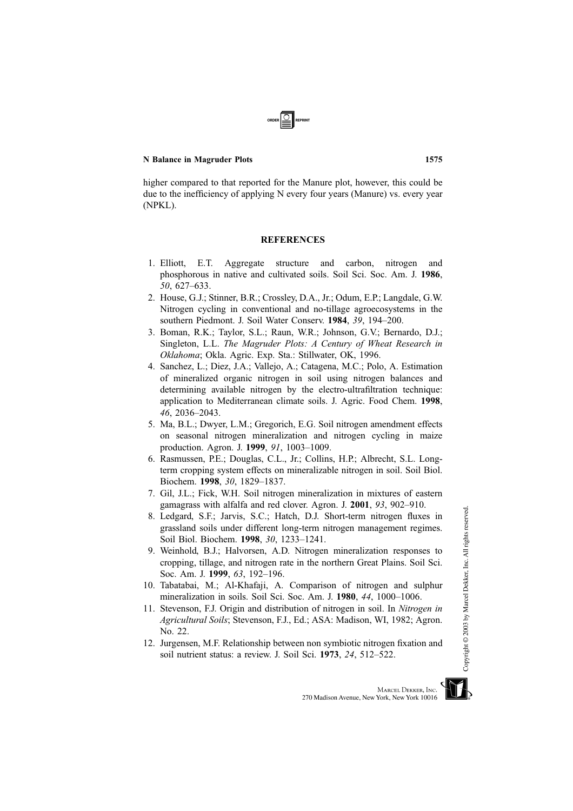higher compared to that reported for the Manure plot, however, this could be due to the inefficiency of applying N every four years (Manure) vs. every year (NPKL).

# **REFERENCES**

- 1. Elliott, E.T. Aggregate structure and carbon, nitrogen and phosphorous in native and cultivated soils. Soil Sci. Soc. Am. J. 1986, 50, 627–633.
- 2. House, G.J.; Stinner, B.R.; Crossley, D.A., Jr.; Odum, E.P.; Langdale, G.W. Nitrogen cycling in conventional and no-tillage agroecosystems in the southern Piedmont. J. Soil Water Conserv. 1984, 39, 194–200.
- 3. Boman, R.K.; Taylor, S.L.; Raun, W.R.; Johnson, G.V.; Bernardo, D.J.; Singleton, L.L. The Magruder Plots: A Century of Wheat Research in Oklahoma; Okla. Agric. Exp. Sta.: Stillwater, OK, 1996.
- 4. Sanchez, L.; Diez, J.A.; Vallejo, A.; Catagena, M.C.; Polo, A. Estimation of mineralized organic nitrogen in soil using nitrogen balances and determining available nitrogen by the electro-ultrafiltration technique: application to Mediterranean climate soils. J. Agric. Food Chem. 1998, 46, 2036–2043.
- 5. Ma, B.L.; Dwyer, L.M.; Gregorich, E.G. Soil nitrogen amendment effects on seasonal nitrogen mineralization and nitrogen cycling in maize production. Agron. J. 1999, 91, 1003–1009.
- 6. Rasmussen, P.E.; Douglas, C.L., Jr.; Collins, H.P.; Albrecht, S.L. Longterm cropping system effects on mineralizable nitrogen in soil. Soil Biol. Biochem. 1998, 30, 1829–1837.
- 7. Gil, J.L.; Fick, W.H. Soil nitrogen mineralization in mixtures of eastern gamagrass with alfalfa and red clover. Agron. J. 2001, 93, 902–910.
- 8. Ledgard, S.F.; Jarvis, S.C.; Hatch, D.J. Short-term nitrogen fluxes in grassland soils under different long-term nitrogen management regimes. Soil Biol. Biochem. 1998, 30, 1233–1241.
- 9. Weinhold, B.J.; Halvorsen, A.D. Nitrogen mineralization responses to cropping, tillage, and nitrogen rate in the northern Great Plains. Soil Sci. Soc. Am. J. 1999, 63, 192–196.
- 10. Tabatabai, M.; Al-Khafaji, A. Comparison of nitrogen and sulphur mineralization in soils. Soil Sci. Soc. Am. J. 1980, 44, 1000–1006.
- 11. Stevenson, F.J. Origin and distribution of nitrogen in soil. In Nitrogen in Agricultural Soils; Stevenson, F.J., Ed.; ASA: Madison, WI, 1982; Agron. No. 22.
- 12. Jurgensen, M.F. Relationship between non symbiotic nitrogen fixation and soil nutrient status: a review. J. Soil Sci. 1973, 24, 512–522.

MARCEL DEKKER, INC.

270 Madison Avenue, New York, New York 10016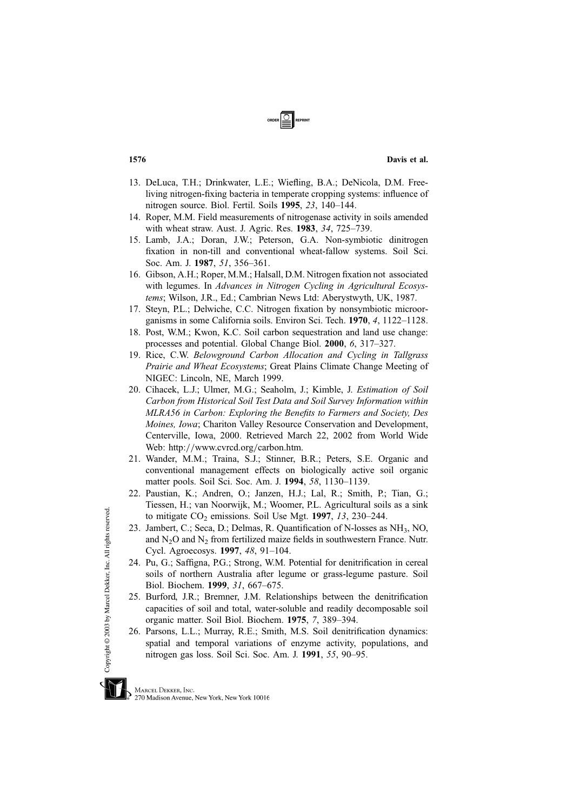- 13. DeLuca, T.H.; Drinkwater, L.E.; Wiefling, B.A.; DeNicola, D.M. Freeliving nitrogen-fixing bacteria in temperate cropping systems: influence of nitrogen source. Biol. Fertil. Soils 1995, 23, 140–144.
- 14. Roper, M.M. Field measurements of nitrogenase activity in soils amended with wheat straw. Aust. J. Agric. Res. 1983, 34, 725–739.
- 15. Lamb, J.A.; Doran, J.W.; Peterson, G.A. Non-symbiotic dinitrogen fixation in non-till and conventional wheat-fallow systems. Soil Sci. Soc. Am. J. 1987, 51, 356–361.
- 16. Gibson, A.H.; Roper, M.M.; Halsall, D.M. Nitrogen fixation not associated with legumes. In Advances in Nitrogen Cycling in Agricultural Ecosystems; Wilson, J.R., Ed.; Cambrian News Ltd: Aberystwyth, UK, 1987.
- 17. Steyn, P.L.; Delwiche, C.C. Nitrogen fixation by nonsymbiotic microorganisms in some California soils. Environ Sci. Tech. 1970, 4, 1122–1128.
- 18. Post, W.M.; Kwon, K.C. Soil carbon sequestration and land use change: processes and potential. Global Change Biol. 2000, 6, 317–327.
- 19. Rice, C.W. Belowground Carbon Allocation and Cycling in Tallgrass Prairie and Wheat Ecosystems; Great Plains Climate Change Meeting of NIGEC: Lincoln, NE, March 1999.
- 20. Cihacek, L.J.; Ulmer, M.G.; Seaholm, J.; Kimble, J. Estimation of Soil Carbon from Historical Soil Test Data and Soil Survey Information within MLRA56 in Carbon: Exploring the Benefits to Farmers and Society, Des Moines, Iowa; Chariton Valley Resource Conservation and Development, Centerville, Iowa, 2000. Retrieved March 22, 2002 from World Wide Web: http://www.cvrcd.org/carbon.htm.
- 21. Wander, M.M.; Traina, S.J.; Stinner, B.R.; Peters, S.E. Organic and conventional management effects on biologically active soil organic matter pools. Soil Sci. Soc. Am. J. 1994, 58, 1130–1139.
- 22. Paustian, K.; Andren, O.; Janzen, H.J.; Lal, R.; Smith, P.; Tian, G.; Tiessen, H.; van Noorwijk, M.; Woomer, P.L. Agricultural soils as a sink to mitigate  $CO<sub>2</sub>$  emissions. Soil Use Mgt. 1997, 13, 230–244.
- 23. Jambert, C.; Seca, D.; Delmas, R. Quantification of N-losses as NH3, NO, and  $N<sub>2</sub>O$  and  $N<sub>2</sub>$  from fertilized maize fields in southwestern France. Nutr. Cycl. Agroecosys. 1997, 48, 91–104.
- 24. Pu, G.; Saffigna, P.G.; Strong, W.M. Potential for denitrification in cereal soils of northern Australia after legume or grass-legume pasture. Soil Biol. Biochem. 1999, 31, 667–675.
- 25. Burford, J.R.; Bremner, J.M. Relationships between the denitrification capacities of soil and total, water-soluble and readily decomposable soil organic matter. Soil Biol. Biochem. 1975, 7, 389–394.
- 26. Parsons, L.L.; Murray, R.E.; Smith, M.S. Soil denitrification dynamics: spatial and temporal variations of enzyme activity, populations, and nitrogen gas loss. Soil Sci. Soc. Am. J. 1991, 55, 90–95.

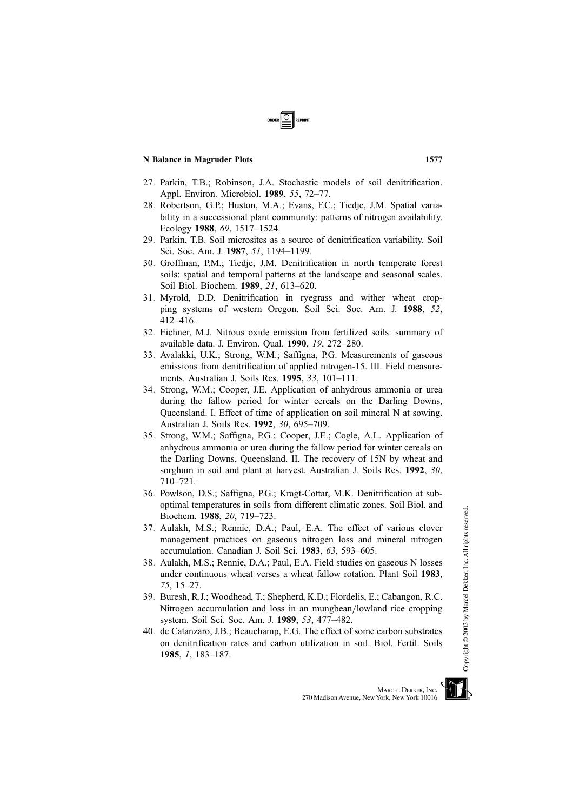- 27. Parkin, T.B.; Robinson, J.A. Stochastic models of soil denitrification. Appl. Environ. Microbiol. 1989, 55, 72–77.
- 28. Robertson, G.P.; Huston, M.A.; Evans, F.C.; Tiedje, J.M. Spatial variability in a successional plant community: patterns of nitrogen availability. Ecology 1988, 69, 1517–1524.
- 29. Parkin, T.B. Soil microsites as a source of denitrification variability. Soil Sci. Soc. Am. J. 1987, 51, 1194-1199.
- 30. Groffman, P.M.; Tiedje, J.M. Denitrification in north temperate forest soils: spatial and temporal patterns at the landscape and seasonal scales. Soil Biol. Biochem. 1989, 21, 613–620.
- 31. Myrold, D.D. Denitrification in ryegrass and wither wheat cropping systems of western Oregon. Soil Sci. Soc. Am. J. 1988, 52, 412–416.
- 32. Eichner, M.J. Nitrous oxide emission from fertilized soils: summary of available data. J. Environ. Qual. 1990, 19, 272–280.
- 33. Avalakki, U.K.; Strong, W.M.; Saffigna, P.G. Measurements of gaseous emissions from denitrification of applied nitrogen-15. III. Field measurements. Australian J. Soils Res. 1995, 33, 101–111.
- 34. Strong, W.M.; Cooper, J.E. Application of anhydrous ammonia or urea during the fallow period for winter cereals on the Darling Downs, Queensland. I. Effect of time of application on soil mineral N at sowing. Australian J. Soils Res. 1992, 30, 695–709.
- 35. Strong, W.M.; Saffigna, P.G.; Cooper, J.E.; Cogle, A.L. Application of anhydrous ammonia or urea during the fallow period for winter cereals on the Darling Downs, Queensland. II. The recovery of 15N by wheat and sorghum in soil and plant at harvest. Australian J. Soils Res. 1992, 30, 710–721.
- 36. Powlson, D.S.; Saffigna, P.G.; Kragt-Cottar, M.K. Denitrification at suboptimal temperatures in soils from different climatic zones. Soil Biol. and Biochem. 1988, 20, 719–723.
- 37. Aulakh, M.S.; Rennie, D.A.; Paul, E.A. The effect of various clover management practices on gaseous nitrogen loss and mineral nitrogen accumulation. Canadian J. Soil Sci. 1983, 63, 593–605.
- 38. Aulakh, M.S.; Rennie, D.A.; Paul, E.A. Field studies on gaseous N losses under continuous wheat verses a wheat fallow rotation. Plant Soil 1983, 75, 15–27.
- 39. Buresh, R.J.; Woodhead, T.; Shepherd, K.D.; Flordelis, E.; Cabangon, R.C. Nitrogen accumulation and loss in an mungbean/lowland rice cropping system. Soil Sci. Soc. Am. J. 1989, 53, 477–482.
- 40. de Catanzaro, J.B.; Beauchamp, E.G. The effect of some carbon substrates on denitrification rates and carbon utilization in soil. Biol. Fertil. Soils 1985, 1, 183–187.



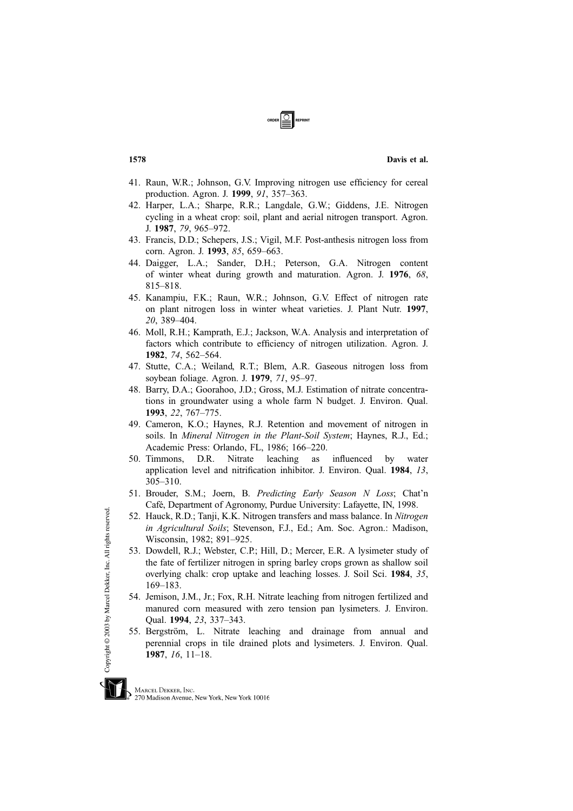- 41. Raun, W.R.; Johnson, G.V. Improving nitrogen use efficiency for cereal production. Agron. J. 1999, 91, 357–363.
- 42. Harper, L.A.; Sharpe, R.R.; Langdale, G.W.; Giddens, J.E. Nitrogen cycling in a wheat crop: soil, plant and aerial nitrogen transport. Agron. J. 1987, 79, 965–972.
- 43. Francis, D.D.; Schepers, J.S.; Vigil, M.F. Post-anthesis nitrogen loss from corn. Agron. J. 1993, 85, 659–663.
- 44. Daigger, L.A.; Sander, D.H.; Peterson, G.A. Nitrogen content of winter wheat during growth and maturation. Agron. J. 1976, 68, 815–818.
- 45. Kanampiu, F.K.; Raun, W.R.; Johnson, G.V. Effect of nitrogen rate on plant nitrogen loss in winter wheat varieties. J. Plant Nutr. 1997, 20, 389–404.
- 46. Moll, R.H.; Kamprath, E.J.; Jackson, W.A. Analysis and interpretation of factors which contribute to efficiency of nitrogen utilization. Agron. J. 1982, 74, 562–564.
- 47. Stutte, C.A.; Weiland, R.T.; Blem, A.R. Gaseous nitrogen loss from soybean foliage. Agron. J. 1979, 71, 95–97.
- 48. Barry, D.A.; Goorahoo, J.D.; Gross, M.J. Estimation of nitrate concentrations in groundwater using a whole farm N budget. J. Environ. Qual. 1993, 22, 767–775.
- 49. Cameron, K.O.; Haynes, R.J. Retention and movement of nitrogen in soils. In Mineral Nitrogen in the Plant-Soil System; Haynes, R.J., Ed.; Academic Press: Orlando, FL, 1986; 166–220.
- 50. Timmons, D.R. Nitrate leaching as influenced by water application level and nitrification inhibitor. J. Environ. Qual. 1984, 13, 305–310.
- 51. Brouder, S.M.; Joern, B. Predicting Early Season N Loss; Chat'n Café, Department of Agronomy, Purdue University: Lafayette, IN, 1998.
- 52. Hauck, R.D.; Tanji, K.K. Nitrogen transfers and mass balance. In Nitrogen in Agricultural Soils; Stevenson, F.J., Ed.; Am. Soc. Agron.: Madison, Wisconsin, 1982; 891–925.
- 53. Dowdell, R.J.; Webster, C.P.; Hill, D.; Mercer, E.R. A lysimeter study of the fate of fertilizer nitrogen in spring barley crops grown as shallow soil overlying chalk: crop uptake and leaching losses. J. Soil Sci. 1984, 35, 169–183.
- 54. Jemison, J.M., Jr.; Fox, R.H. Nitrate leaching from nitrogen fertilized and manured corn measured with zero tension pan lysimeters. J. Environ. Qual. 1994, 23, 337–343.
- 55. Bergström, L. Nitrate leaching and drainage from annual and perennial crops in tile drained plots and lysimeters. J. Environ. Qual. 1987, 16, 11–18.



Copyright @ 2003 by Marcel Dekker, Inc. All rights reserved.

270 Madison Avenue, New York, New York 10016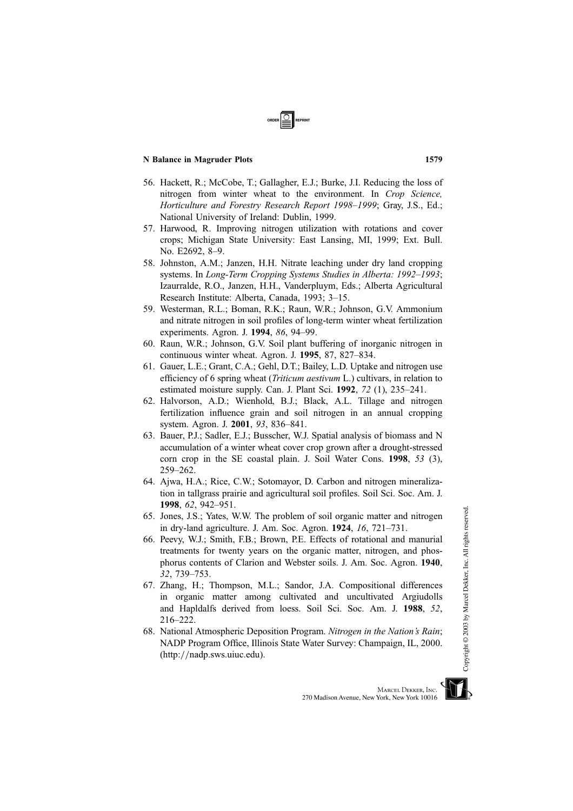- 56. Hackett, R.; McCobe, T.; Gallagher, E.J.; Burke, J.I. Reducing the loss of nitrogen from winter wheat to the environment. In Crop Science, Horticulture and Forestry Research Report 1998–1999; Gray, J.S., Ed.; National University of Ireland: Dublin, 1999.
- 57. Harwood, R. Improving nitrogen utilization with rotations and cover crops; Michigan State University: East Lansing, MI, 1999; Ext. Bull. No. E2692, 8–9.
- 58. Johnston, A.M.; Janzen, H.H. Nitrate leaching under dry land cropping systems. In Long-Term Cropping Systems Studies in Alberta: 1992–1993; Izaurralde, R.O., Janzen, H.H., Vanderpluym, Eds.; Alberta Agricultural Research Institute: Alberta, Canada, 1993; 3–15.
- 59. Westerman, R.L.; Boman, R.K.; Raun, W.R.; Johnson, G.V. Ammonium and nitrate nitrogen in soil profiles of long-term winter wheat fertilization experiments. Agron. J. 1994, 86, 94–99.
- 60. Raun, W.R.; Johnson, G.V. Soil plant buffering of inorganic nitrogen in continuous winter wheat. Agron. J. 1995, 87, 827–834.
- 61. Gauer, L.E.; Grant, C.A.; Gehl, D.T.; Bailey, L.D. Uptake and nitrogen use efficiency of 6 spring wheat *(Triticum aestivum L.)* cultivars, in relation to estimated moisture supply. Can. J. Plant Sci. 1992, 72 (1), 235–241.
- 62. Halvorson, A.D.; Wienhold, B.J.; Black, A.L. Tillage and nitrogen fertilization influence grain and soil nitrogen in an annual cropping system. Agron. J. 2001, 93, 836–841.
- 63. Bauer, P.J.; Sadler, E.J.; Busscher, W.J. Spatial analysis of biomass and N accumulation of a winter wheat cover crop grown after a drought-stressed corn crop in the SE coastal plain. J. Soil Water Cons. 1998, 53 (3), 259–262.
- 64. Ajwa, H.A.; Rice, C.W.; Sotomayor, D. Carbon and nitrogen mineralization in tallgrass prairie and agricultural soil profiles. Soil Sci. Soc. Am. J. 1998, 62, 942–951.
- 65. Jones, J.S.; Yates, W.W. The problem of soil organic matter and nitrogen in dry-land agriculture. J. Am. Soc. Agron. 1924, 16, 721–731.
- 66. Peevy, W.J.; Smith, F.B.; Brown, P.E. Effects of rotational and manurial treatments for twenty years on the organic matter, nitrogen, and phosphorus contents of Clarion and Webster soils. J. Am. Soc. Agron. 1940, 32, 739–753.
- 67. Zhang, H.; Thompson, M.L.; Sandor, J.A. Compositional differences in organic matter among cultivated and uncultivated Argiudolls and Hapldalfs derived from loess. Soil Sci. Soc. Am. J. 1988, 52, 216–222.
- 68. National Atmospheric Deposition Program. Nitrogen in the Nation's Rain; NADP Program Office, Illinois State Water Survey: Champaign, IL, 2000. (http://nadp.sws.uiuc.edu).



Copyright © 2003 by Marcel Dekker, Inc. All rights reserved